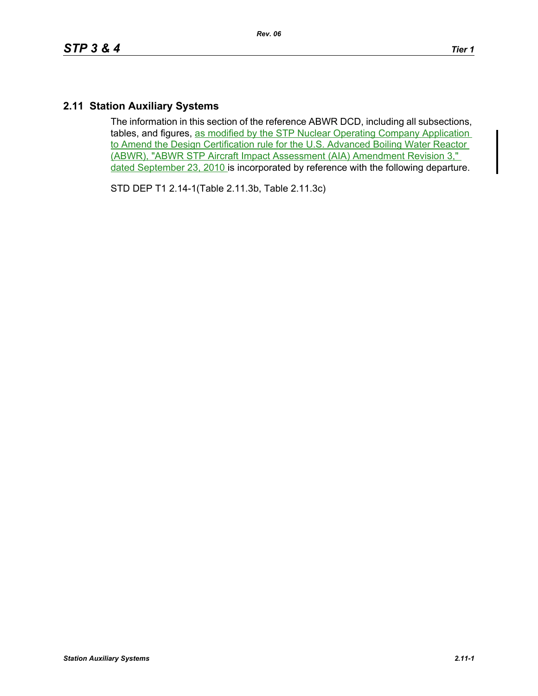## **2.11 Station Auxiliary Systems**

The information in this section of the reference ABWR DCD, including all subsections, tables, and figures, as modified by the STP Nuclear Operating Company Application to Amend the Design Certification rule for the U.S. Advanced Boiling Water Reactor (ABWR), "ABWR STP Aircraft Impact Assessment (AIA) Amendment Revision 3," dated September 23, 2010 is incorporated by reference with the following departure.

STD DEP T1 2.14-1(Table 2.11.3b, Table 2.11.3c)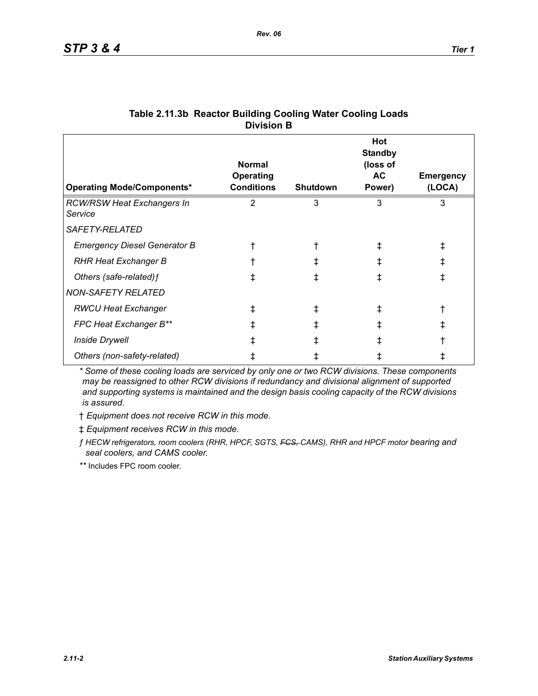| <b>Operating Mode/Components*</b>            | <b>Normal</b><br><b>Operating</b><br><b>Conditions</b> | <b>Shutdown</b> | Hot<br><b>Standby</b><br>(loss of<br>AC<br>Power) | <b>Emergency</b><br>(LOCA) |
|----------------------------------------------|--------------------------------------------------------|-----------------|---------------------------------------------------|----------------------------|
| <b>RCW/RSW Heat Exchangers In</b><br>Service | 2                                                      | 3               | 3                                                 | 3                          |
| <i>SAFETY-RELATED</i>                        |                                                        |                 |                                                   |                            |
| <b>Emergency Diesel Generator B</b>          |                                                        |                 |                                                   | ŧ                          |
| <b>RHR Heat Exchanger B</b>                  |                                                        |                 | ∓                                                 | ŧ                          |
| Others (safe-related) f                      | ⇟                                                      |                 |                                                   | ŧ                          |
| <b>NON-SAFETY RELATED</b>                    |                                                        |                 |                                                   |                            |
| <b>RWCU Heat Exchanger</b>                   | ŧ                                                      |                 |                                                   |                            |
| FPC Heat Exchanger B**                       | ⇟                                                      |                 |                                                   | ⇟                          |
| <b>Inside Drywell</b>                        |                                                        |                 |                                                   |                            |
| Others (non-safety-related)                  |                                                        |                 |                                                   |                            |

## **Table 2.11.3b Reactor Building Cooling Water Cooling Loads Division B**

*\* Some of these cooling loads are serviced by only one or two RCW divisions. These components may be reassigned to other RCW divisions if redundancy and divisional alignment of supported and supporting systems is maintained and the design basis cooling capacity of the RCW divisions is assured.*

† *Equipment does not receive RCW in this mode.*

‡ *Equipment receives RCW in this mode.*

*ƒ HECW refrigerators, room coolers (RHR, HPCF, SGTS, FCS, CAMS), RHR and HPCF motor bearing and seal coolers, and CAMS cooler.*

*\*\** Includes FPC room cooler.